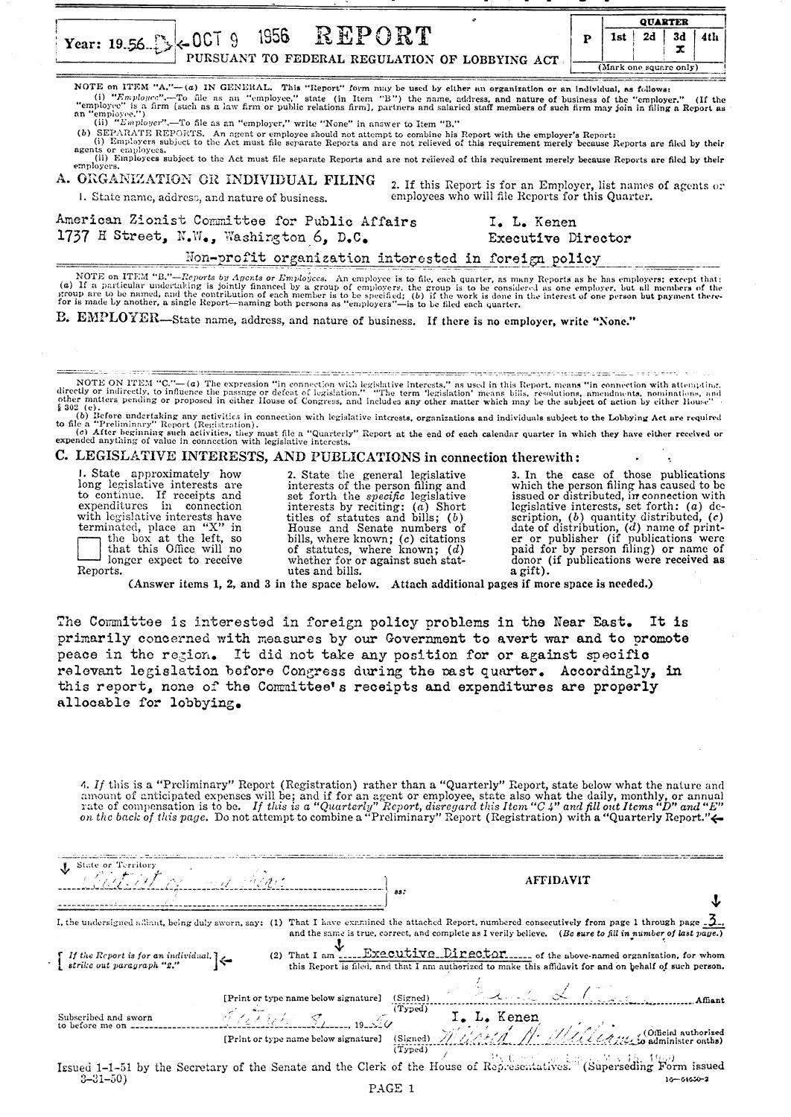|                                                                                                                                                                                                                                                                                                                                                                                                                                           | <b>QUARTER</b> |                        |    |    |     |
|-------------------------------------------------------------------------------------------------------------------------------------------------------------------------------------------------------------------------------------------------------------------------------------------------------------------------------------------------------------------------------------------------------------------------------------------|----------------|------------------------|----|----|-----|
| Year: 19.56 \\ \ \ \ \ 0CT 9 \ 1956 \ \ R EPORT<br>PURSUANT TO FEDERAL REGULATION OF LOBBYING ACT                                                                                                                                                                                                                                                                                                                                         |                |                        | 2d | 3d | 4th |
|                                                                                                                                                                                                                                                                                                                                                                                                                                           |                | (Mark one square only) |    |    |     |
| NOTE on ITEM "A,"-(a) IN GENERAL. This "Report" form may be used by either an organization or an individual, as follows:<br>(i) "Employee".--To file as an "employee," state (in Item "B") the name, address, and nature of business of the "employer." (If the<br>"employee" is a firm [such as a law firm or public relations firm], partners and salaried staff members of such firm may join in filing a Report as<br>an "employee.") |                |                        |    |    |     |

(ii) "Employer".--To file as an "employer," write "None" in answer to Item "B."

(b) SEPARATE REPORTS. An agent or employee should not attempt to combine his Report with the employer's Report:<br>(i) Employers subject to the Act must file separate Reports and are not relieved of this requirement merely be

(i) Employers subject to the zict must the separate Reports and are not relieved of this requirement merely because Reports are filed by their (ii) Employees,<br>(ii) Employees subject to the Act must file separate Reports an agents employers.

A. ORGANIZATION OR INDIVIDUAL FILING

1. State name, address, and nature of business.

Ł ž.

> 2. If this Report is for an Employer, list names of agents or employees who will file Reports for this Quarter.

American Zionist Committee for Public Affairs 1737 H Street, N.W., Washington 6. D.C.

I. L. Kenen Executive Director

Non-profit organization interested in foreign policy

NOTE on ITEM "B."—Reports by Apents or Employees. An employee is to file, each quarter, as many Reports as he has employers; except that:<br>(a) If a particular undertaking is jointly financed by a group of employees, the gr

B. EMPLOYER—State name, address, and nature of business. If there is no employer, write "None."

NOTE ON ITEM "C."—(a) The expression "in connection with legislative interests." as used in this Report, means hils, resolutions, amendments, nominations, and incetly or indirectly, to influence the passage or defeat of l the common common common contracts

C. LEGISLATIVE INTERESTS, AND PUBLICATIONS in connection therewith:

1. State approximately how come approximately now to continue. If receipts are<br>to continue. If receipts and<br>expenditures in connection with legislative interests have<br>terminated, place an "X" in the box at the left, so<br>that this Office will no longer expect to receive Reports.

2. State the general legislative<br>interests of the person filing and set forth the *specific* legislative interests by reciting:  $(a)$  Short<br>titles of statutes and bills;  $(b)$ these of statutes and senate numbers of<br>bills, where known; (c) citations<br>of statutes, where known; (d)<br>whether for or against such statutes and bills.

3. In the case of those publications **5.** In the case of those publications which the person filing has caused to be issued or distributed, in connection with legislative interests, set forth: (*a*) description, (*b*) quantity distributed, (*c*) date of dist a gift).

 $\bullet$ 

(Answer items 1, 2, and 3 in the space below. Attach additional pages if more space is needed.)

The Committee is interested in foreign policy problems in the Near East. It is primarily concerned with measures by our Government to avert war and to promote peace in the region. It did not take any position for or against specific relevant legislation before Congress during the past quarter. Accordingly, in this report, none of the Committee's receipts and expenditures are properly allocable for lobbying.

4. If this is a "Preliminary" Report (Registration) rather than a "Quarterly" Report, state below what the nature and amount of anticipated expenses will be; and if for an agent or employee, state also what the daily, monthly, or annual<br>rate of compensation is to be. If this is a "Quarterly" Report, disregard this Item "C 4" and fill out

| State or Territory<br>Relative Procession of the Collection                                                                             |  | 88.     |                                                                                                                                                                                                                                                                                                                                                                                                                       | <b>AFFIDAVIT</b> |                  |
|-----------------------------------------------------------------------------------------------------------------------------------------|--|---------|-----------------------------------------------------------------------------------------------------------------------------------------------------------------------------------------------------------------------------------------------------------------------------------------------------------------------------------------------------------------------------------------------------------------------|------------------|------------------|
| I, the undersigned alliant, being duly sworn, say: (1)                                                                                  |  |         | That I have examined the attached Report, numbered consecutively from page 1 through page $\mathcal{Q}_-$ ,<br>and the same is true, correct, and complete as I verily believe. (Bc sure to fill in number of last page.)                                                                                                                                                                                             |                  |                  |
| If the Report is for an individual.<br>strike out paragraph "2."                                                                        |  |         | (2) That I am Executive.Director of the above-named organization, for whom<br>this Report is filed, and that I am authorized to make this affidavit for and on behalf of such person.                                                                                                                                                                                                                                 |                  |                  |
| Subscribed and sworn                                                                                                                    |  |         | [Print or type name below signature] (Signed)<br>M/L                                                                                                                                                                                                                                                                                                                                                                  |                  |                  |
| to before me on $---$                                                                                                                   |  | (Typed) | $\frac{1}{\sqrt{1-\frac{1}{1-\frac{1}{1-\frac{1}{1-\frac{1}{1-\frac{1}{1-\frac{1}{1-\frac{1}{1-\frac{1}{1-\frac{1}{1-\frac{1}{1-\frac{1}{1-\frac{1}{1-\frac{1}{1-\frac{1}{1-\frac{1}{1-\frac{1}{1-\frac{1}{1-\frac{1}{1-\frac{1}{1-\frac{1}{1-\frac{1}{1-\frac{1}{1-\frac{1}{1-\frac{1}{1-\frac{1}{1-\frac{1}{1-\frac{1}{1-\frac{1}{1-\frac{1}{1-\frac{1}{1-\frac{1}{1-\frac{1}{1-\frac{1}{1-\frac{1}{1-\frac{1}{1-\$ |                  |                  |
| Issued $1-1-51$ by the Secretary of the Senate and the Clerk of the House of Representatives. (Superseding Form issued<br>$3 - 31 - 50$ |  |         |                                                                                                                                                                                                                                                                                                                                                                                                                       |                  | $16 - 61650 - 2$ |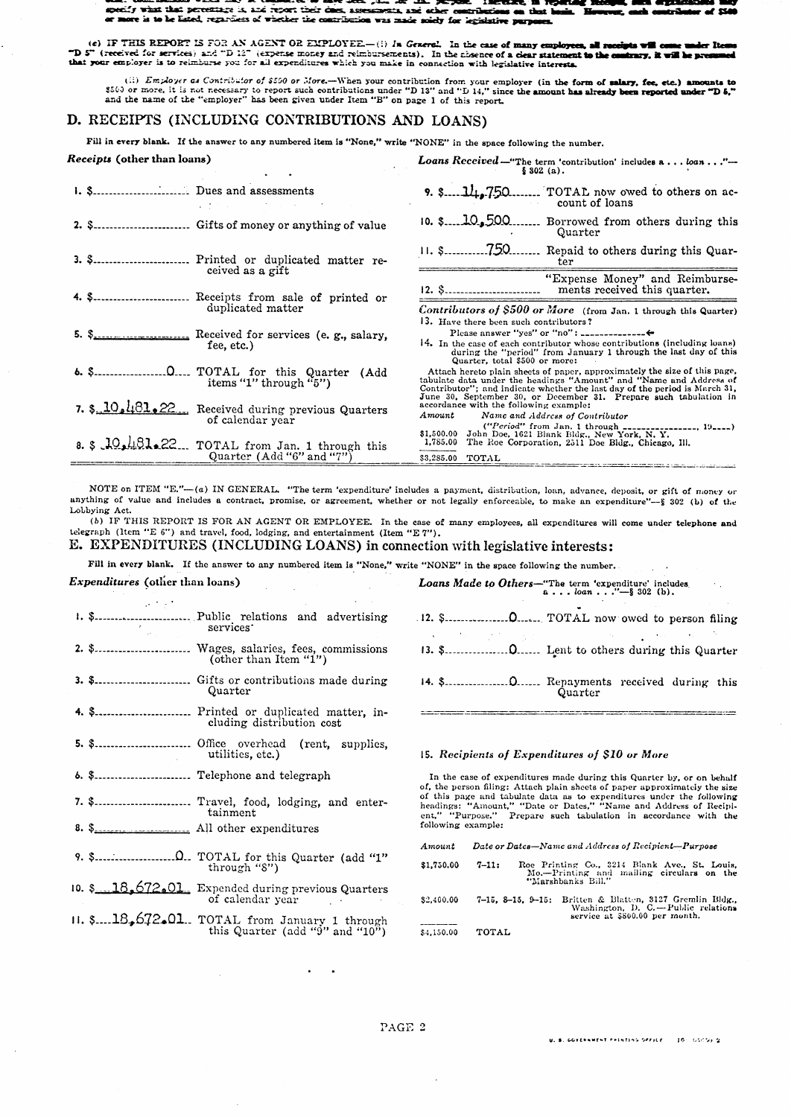. . . specify what that percentings is, and report their clues, assessments, and other contributions on that is appearing that is even that is a set of the contributions on that is vevz, esch er  $-$  of  $\overline{\mathbf{m}}$ e. Te متحف at la

(c) IF THIS REPORT IS FOR AN AGENT OR EMPLOYEE.—(i) In General. In the case of many employees, all receipts will come under 1 TD 5" (received for services) and "D 12" (expense money and reimbursements). In the closence of ler Ite

(ii) *Employer as Contributor of \$500 or More*.—When your contribution from your employer (in the form of salary, fee, etc.) amounts to \$500 or more, it is not necessary to report such contributions under "D 13" and "D 14

## D. RECEIPTS (INCLUDING CONTRIBUTIONS AND LOANS)

Fill in every blank. If the answer to any numbered item is "None," write "NONE" in the space following the number.

| <b>Loans Keceived</b> – "The term 'contribution' includes $a \dots ba \dots$ "<br>\$302(a).                                                                                                                                                                                                        |
|----------------------------------------------------------------------------------------------------------------------------------------------------------------------------------------------------------------------------------------------------------------------------------------------------|
| $9.$ \$ $11.750$<br>$\sim$ TOTAL now owed to others on ac-<br>count of loans                                                                                                                                                                                                                       |
| $10.$ \$ $10.500$<br>Borrowed from others during this<br>Quarter                                                                                                                                                                                                                                   |
| $11.$ \$750.<br>Repaid to others during this Quar-<br>3. \$ Printed or duplicated matter re-<br>ter                                                                                                                                                                                                |
| "Expense Money" and Reimburse-<br>12. \$<br>ments received this quarter.<br>4. \$ Receipts from sale of printed or                                                                                                                                                                                 |
| Contributors of \$500 or More (from Jan. 1 through this Quarter)<br>13. Have there been such contributors?                                                                                                                                                                                         |
| Please answer "yes" or "no": $\frac{1}{2}$<br>14. In the case of each contributor whose contributions (including loans)<br>during the "period" from January 1 through the last day of this<br>Quarter, total \$500 or more:                                                                        |
| Attach hereto plain sheets of paper, approximately the size of this page.<br>tabulate data under the headings "Amount" and "Name and Address of<br>Contributor"; and indicate whether the last day of the period is March 31,<br>June 30, September 30, or December 31. Prepare such tabulation in |
| 7. \$.10.481.22. Received during previous Quarters<br>accordance with the following example:<br>$A$ mount<br>Name and Address of Contributor<br>$("Period" from Jan. 1 through _______1 19)$                                                                                                       |
| \$1,500.00 John Doe, 1621 Blank Bldg., New York, N. Y.<br>8. \$ $10.481$ 22. TOTAL from Jan. 1 through this<br>1,785.00 The Roe Corporation, 2511 Doe Bldg., Chicago, Ill.<br>\$3,285.00 TOTAL                                                                                                     |
|                                                                                                                                                                                                                                                                                                    |

NOTE on ITEM "E."-(a) IN GENERAL. "The term 'expenditure' includes a payment, distribution, loan, advance, deposit, or gift of money or anything of value and includes a contract, promise, or agreement, whether or not legally enforceable, to make an expenditure"-- § 302 (b) of the Lobbying Act.

(b) IF THIS REPORT IS FOR AN AGENT OR EMPLOYEE. In the case of many employees, all expenditures will come under telephone and telegraph (ltem "E 6") and travel, food, lodging, and entertainment (Item "E 7").

## E. EXPENDITURES (INCLUDING LOANS) in connection with legislative interests:

Fill in every blank. If the answer to any numbered item is "None," write "NONE" in the space following the number.

## Expenditures (other than loans)

 $\sim$   $\sim$   $\sim$ 

 $\sim$   $\sim$   $\sim$ 

 $\mathcal{L} \in \mathcal{L}$ services<sup>-</sup> Quarter 4. \$........................... Printed or duplicated matter, including distribution cost effice overhead (rent, supplies, utilities, etc.) 5. \$........................... Office 6. \$.......................... Telephone and telegraph 7. \$.......................... Travel, food, lodging, and entertainment 8. \$ 10. \$.18,672.01 Expended during previous Quarters of calendar year  $\sim$   $\sim$ 

|  | 11. \$ $18,672,01$ . TOTAL from January 1 through |  |
|--|---------------------------------------------------|--|
|  | this Quarter (add " $9$ " and " $10$ ")           |  |

|  | Quarter |  |  |
|--|---------|--|--|

**Loans Made to Others**—"The term 'expenditure' includes.<br>a...ban..."-§ 302 (b).

## 15. Recipients of Expenditures of \$10 or More

In the case of expenditures made during this Quarter by, or on behalf of, the person filing: Attach plain sheets of paper approximately the size of this page and tabulate data as to expenditures under the following<br>headings: "Amount," "Date or Dates," "Name and Address of Recipi-<br>ent," "Purpose," Prepare such tabulation in accordance with the following example:

Date or Datcs-Name and Address of Recipient-Purpose Amount

| \$1,750.00 | $7 - 11:$ | Roe Printing Co., 3214 Blank Ave., St. Louis.<br>Mo.-Printing and mailing circulars on the<br>"Marshbanks Bill."               |
|------------|-----------|--------------------------------------------------------------------------------------------------------------------------------|
| \$2,400.00 |           | 7-15, 8-15, 9-15: Britten & Blatten, 3127 Gremlin Bldg<br>Washington, D. C.-Public relations<br>service at \$800.00 per month. |
| \$4.150.00 | TOTAL     |                                                                                                                                |